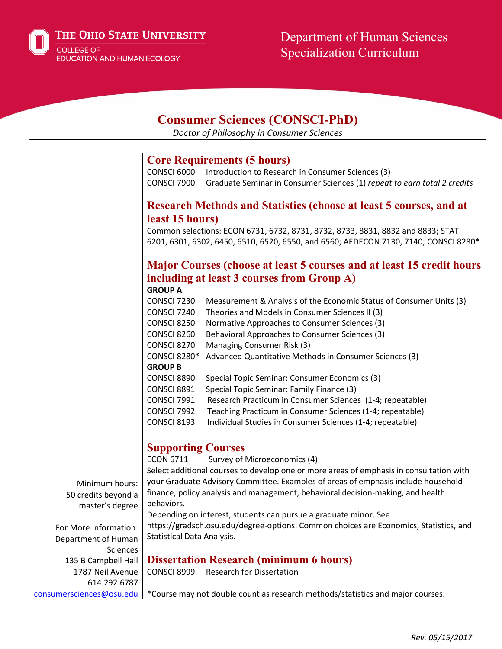The Ohio State University

COLLEGE OF **EDUCATION AND HUMAN ECOLOGY** 

## Department of Human Sciences Specialization Curriculum

### **Consumer Sciences (CONSCI-PhD)**

*Doctor of Philosophy in Consumer Sciences*

#### **Core Requirements (5 hours)**

CONSCI 6000 Introduction to Research in Consumer Sciences (3) CONSCI 7900 Graduate Seminar in Consumer Sciences (1) *repeat to earn total 2 credits*

#### **Research Methods and Statistics (choose at least 5 courses, and at least 15 hours)**

Common selections: ECON 6731, 6732, 8731, 8732, 8733, 8831, 8832 and 8833; STAT 6201, 6301, 6302, 6450, 6510, 6520, 6550, and 6560; AEDECON 7130, 7140; CONSCI 8280\*

#### **Major Courses (choose at least 5 courses and at least 15 credit hours including at least 3 courses from Group A) GROUP A**

CONSCI 7230 Measurement & Analysis of the Economic Status of Consumer Units (3) CONSCI 7240 Theories and Models in Consumer Sciences II (3) CONSCI 8250 Normative Approaches to Consumer Sciences (3) CONSCI 8260 Behavioral Approaches to Consumer Sciences (3) CONSCI 8270 Managing Consumer Risk (3) CONSCI 8280\* Advanced Quantitative Methods in Consumer Sciences (3) **GROUP B** CONSCI 8890 Special Topic Seminar: Consumer Economics (3) CONSCI 8891 Special Topic Seminar: Family Finance (3) CONSCI 7991 Research Practicum in Consumer Sciences (1-4; repeatable) CONSCI 7992 Teaching Practicum in Consumer Sciences (1-4; repeatable) CONSCI 8193 Individual Studies in Consumer Sciences (1-4; repeatable)

#### **Supporting Courses**

ECON 6711 Survey of Microeconomics (4)

Select additional courses to develop one or more areas of emphasis in consultation with your Graduate Advisory Committee. Examples of areas of emphasis include household finance, policy analysis and management, behavioral decision-making, and health behaviors.

Minimum hours: 50 credits beyond a master's degree

For More Information: Department of Human **Sciences** 135 B Campbell Hall 1787 Neil Avenue 614.292.6787

Depending on interest, students can pursue a graduate minor. See https://gradsch.osu.edu/degree-options. Common choices are Economics, Statistics, and Statistical Data Analysis.

# **Dissertation Research (minimum 6 hours)**<br>CONSCI 8999 Research for Dissertation

**Research for Dissertation** 

[consumersciences@osu.edu](mailto:consumersciences@osu.edu) | \*Course may not double count as research methods/statistics and major courses.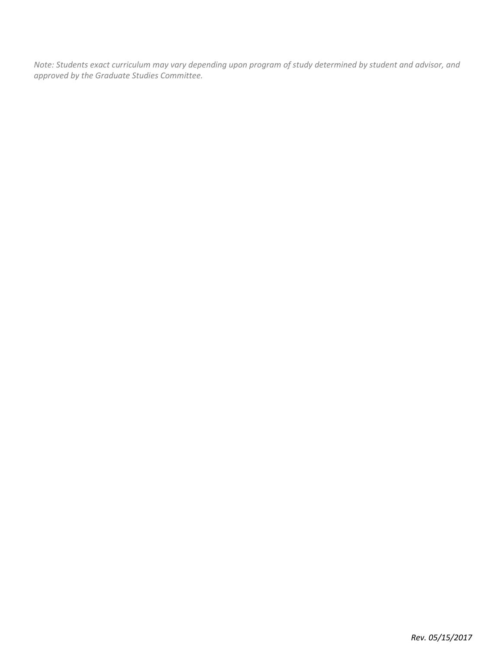*Note: Students exact curriculum may vary depending upon program of study determined by student and advisor, and approved by the Graduate Studies Committee.*